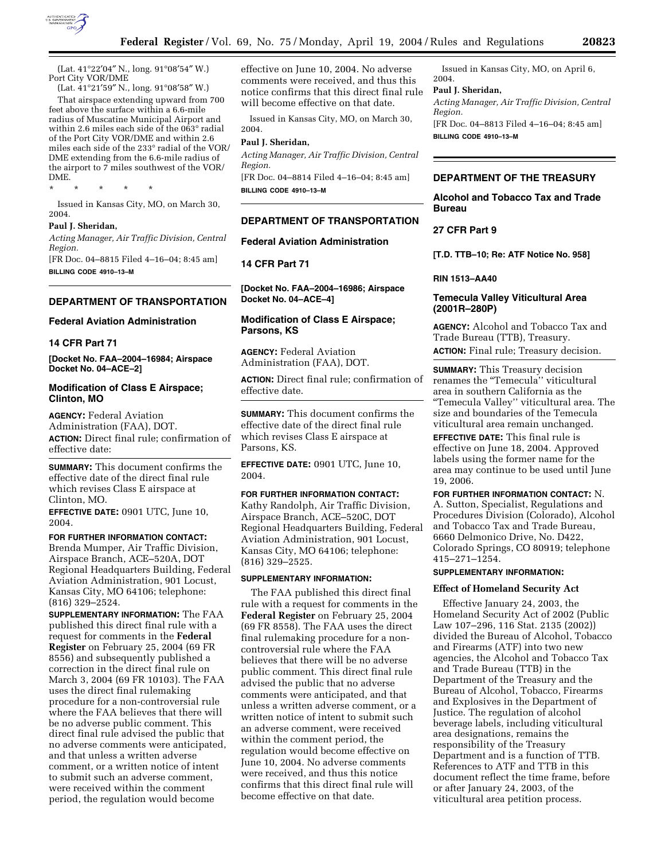

(Lat. 41°22′04″ N., long. 91°08′54″ W.) Port City VOR/DME

(Lat. 41°21′59″ N., long. 91°08′58″ W.) That airspace extending upward from 700 feet above the surface within a 6.6-mile radius of Muscatine Municipal Airport and within 2.6 miles each side of the 063° radial of the Port City VOR/DME and within 2.6 miles each side of the 233° radial of the VOR/ DME extending from the 6.6-mile radius of the airport to 7 miles southwest of the VOR/ DME.

\* \* \* \* \*

Issued in Kansas City, MO, on March 30, 2004.

#### **Paul J. Sheridan,**

*Acting Manager, Air Traffic Division, Central Region.* 

[FR Doc. 04–8815 Filed 4–16–04; 8:45 am] **BILLING CODE 4910–13–M** 

#### **DEPARTMENT OF TRANSPORTATION**

# **Federal Aviation Administration**

#### **14 CFR Part 71**

**[Docket No. FAA–2004–16984; Airspace Docket No. 04–ACE–2]** 

### **Modification of Class E Airspace; Clinton, MO**

**AGENCY:** Federal Aviation Administration (FAA), DOT. **ACTION:** Direct final rule; confirmation of effective date:

**SUMMARY:** This document confirms the effective date of the direct final rule which revises Class E airspace at Clinton, MO.

**EFFECTIVE DATE:** 0901 UTC, June 10, 2004.

**FOR FURTHER INFORMATION CONTACT:**  Brenda Mumper, Air Traffic Division, Airspace Branch, ACE–520A, DOT Regional Headquarters Building, Federal Aviation Administration, 901 Locust, Kansas City, MO 64106; telephone: (816) 329–2524.

**SUPPLEMENTARY INFORMATION:** The FAA published this direct final rule with a request for comments in the **Federal Register** on February 25, 2004 (69 FR 8556) and subsequently published a correction in the direct final rule on March 3, 2004 (69 FR 10103). The FAA uses the direct final rulemaking procedure for a non-controversial rule where the FAA believes that there will be no adverse public comment. This direct final rule advised the public that no adverse comments were anticipated, and that unless a written adverse comment, or a written notice of intent to submit such an adverse comment, were received within the comment period, the regulation would become

effective on June 10, 2004. No adverse comments were received, and thus this notice confirms that this direct final rule will become effective on that date.

Issued in Kansas City, MO, on March 30, 2004.

#### **Paul J. Sheridan,**

*Acting Manager, Air Traffic Division, Central Region.* 

[FR Doc. 04–8814 Filed 4–16–04; 8:45 am] **BILLING CODE 4910–13–M** 

### **DEPARTMENT OF TRANSPORTATION**

# **Federal Aviation Administration**

**14 CFR Part 71** 

**[Docket No. FAA–2004–16986; Airspace Docket No. 04–ACE–4]** 

# **Modification of Class E Airspace; Parsons, KS**

**AGENCY:** Federal Aviation Administration (FAA), DOT.

**ACTION:** Direct final rule; confirmation of effective date.

**SUMMARY:** This document confirms the effective date of the direct final rule which revises Class E airspace at Parsons, KS.

**EFFECTIVE DATE:** 0901 UTC, June 10, 2004.

#### **FOR FURTHER INFORMATION CONTACT:**

Kathy Randolph, Air Traffic Division, Airspace Branch, ACE–520C, DOT Regional Headquarters Building, Federal Aviation Administration, 901 Locust, Kansas City, MO 64106; telephone: (816) 329–2525.

#### **SUPPLEMENTARY INFORMATION:**

The FAA published this direct final rule with a request for comments in the **Federal Register** on February 25, 2004 (69 FR 8558). The FAA uses the direct final rulemaking procedure for a noncontroversial rule where the FAA believes that there will be no adverse public comment. This direct final rule advised the public that no adverse comments were anticipated, and that unless a written adverse comment, or a written notice of intent to submit such an adverse comment, were received within the comment period, the regulation would become effective on June 10, 2004. No adverse comments were received, and thus this notice confirms that this direct final rule will become effective on that date.

Issued in Kansas City, MO, on April 6, 2004.

#### **Paul J. Sheridan,**

*Acting Manager, Air Traffic Division, Central Region.* 

[FR Doc. 04–8813 Filed 4–16–04; 8:45 am] **BILLING CODE 4910–13–M** 

### **DEPARTMENT OF THE TREASURY**

**Alcohol and Tobacco Tax and Trade Bureau** 

### **27 CFR Part 9**

**[T.D. TTB–10; Re: ATF Notice No. 958]** 

#### **RIN 1513–AA40**

## **Temecula Valley Viticultural Area (2001R–280P)**

**AGENCY:** Alcohol and Tobacco Tax and Trade Bureau (TTB), Treasury. **ACTION:** Final rule; Treasury decision.

**SUMMARY:** This Treasury decision renames the "Temecula" viticultural area in southern California as the ''Temecula Valley'' viticultural area. The size and boundaries of the Temecula viticultural area remain unchanged.

**EFFECTIVE DATE:** This final rule is effective on June 18, 2004. Approved labels using the former name for the area may continue to be used until June 19, 2006.

# **FOR FURTHER INFORMATION CONTACT:** N.

A. Sutton, Specialist, Regulations and Procedures Division (Colorado), Alcohol and Tobacco Tax and Trade Bureau, 6660 Delmonico Drive, No. D422, Colorado Springs, CO 80919; telephone 415–271–1254.

#### **SUPPLEMENTARY INFORMATION:**

### **Effect of Homeland Security Act**

Effective January 24, 2003, the Homeland Security Act of 2002 (Public Law 107–296, 116 Stat. 2135 (2002)) divided the Bureau of Alcohol, Tobacco and Firearms (ATF) into two new agencies, the Alcohol and Tobacco Tax and Trade Bureau (TTB) in the Department of the Treasury and the Bureau of Alcohol, Tobacco, Firearms and Explosives in the Department of Justice. The regulation of alcohol beverage labels, including viticultural area designations, remains the responsibility of the Treasury Department and is a function of TTB. References to ATF and TTB in this document reflect the time frame, before or after January 24, 2003, of the viticultural area petition process.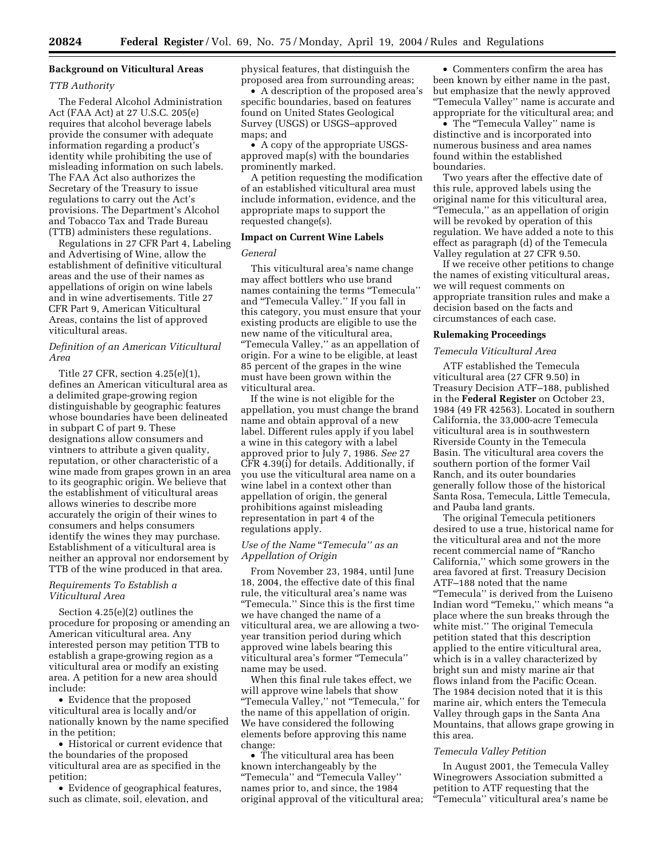# **Background on Viticultural Areas**

#### *TTB Authority*

The Federal Alcohol Administration Act (FAA Act) at 27 U.S.C. 205(e) requires that alcohol beverage labels provide the consumer with adequate information regarding a product's identity while prohibiting the use of misleading information on such labels. The FAA Act also authorizes the Secretary of the Treasury to issue regulations to carry out the Act's provisions. The Department's Alcohol and Tobacco Tax and Trade Bureau (TTB) administers these regulations.

Regulations in 27 CFR Part 4, Labeling and Advertising of Wine, allow the establishment of definitive viticultural areas and the use of their names as appellations of origin on wine labels and in wine advertisements. Title 27 CFR Part 9, American Viticultural Areas, contains the list of approved viticultural areas.

# *Definition of an American Viticultural Area*

Title 27 CFR, section 4.25(e)(1), defines an American viticultural area as a delimited grape-growing region distinguishable by geographic features whose boundaries have been delineated in subpart C of part 9. These designations allow consumers and vintners to attribute a given quality, reputation, or other characteristic of a wine made from grapes grown in an area to its geographic origin. We believe that the establishment of viticultural areas allows wineries to describe more accurately the origin of their wines to consumers and helps consumers identify the wines they may purchase. Establishment of a viticultural area is neither an approval nor endorsement by TTB of the wine produced in that area.

### *Requirements To Establish a Viticultural Area*

Section 4.25(e)(2) outlines the procedure for proposing or amending an American viticultural area. Any interested person may petition TTB to establish a grape-growing region as a viticultural area or modify an existing area. A petition for a new area should include:

• Evidence that the proposed viticultural area is locally and/or nationally known by the name specified in the petition;

• Historical or current evidence that the boundaries of the proposed viticultural area are as specified in the petition;

• Evidence of geographical features, such as climate, soil, elevation, and

physical features, that distinguish the proposed area from surrounding areas;

• A description of the proposed area's specific boundaries, based on features found on United States Geological Survey (USGS) or USGS–approved maps; and

• A copy of the appropriate USGSapproved map(s) with the boundaries prominently marked.

A petition requesting the modification of an established viticultural area must include information, evidence, and the appropriate maps to support the requested change(s).

### **Impact on Current Wine Labels**

#### *General*

This viticultural area's name change may affect bottlers who use brand names containing the terms ''Temecula'' and ''Temecula Valley.'' If you fall in this category, you must ensure that your existing products are eligible to use the new name of the viticultural area, ''Temecula Valley,'' as an appellation of origin. For a wine to be eligible, at least 85 percent of the grapes in the wine must have been grown within the viticultural area.

If the wine is not eligible for the appellation, you must change the brand name and obtain approval of a new label. Different rules apply if you label a wine in this category with a label approved prior to July 7, 1986. *See* 27 CFR 4.39(i) for details. Additionally, if you use the viticultural area name on a wine label in a context other than appellation of origin, the general prohibitions against misleading representation in part 4 of the regulations apply.

# *Use of the Name* ''*Temecula'' as an Appellation of Origin*

From November 23, 1984, until June 18, 2004, the effective date of this final rule, the viticultural area's name was ''Temecula.'' Since this is the first time we have changed the name of a viticultural area, we are allowing a twoyear transition period during which approved wine labels bearing this viticultural area's former ''Temecula'' name may be used.

When this final rule takes effect, we will approve wine labels that show ''Temecula Valley,'' not ''Temecula,'' for the name of this appellation of origin. We have considered the following elements before approving this name change:

• The viticultural area has been known interchangeably by the ''Temecula'' and ''Temecula Valley'' names prior to, and since, the 1984 original approval of the viticultural area;

• Commenters confirm the area has been known by either name in the past, but emphasize that the newly approved ''Temecula Valley'' name is accurate and appropriate for the viticultural area; and

• The "Temecula Valley" name is distinctive and is incorporated into numerous business and area names found within the established boundaries.

Two years after the effective date of this rule, approved labels using the original name for this viticultural area, ''Temecula,'' as an appellation of origin will be revoked by operation of this regulation. We have added a note to this effect as paragraph (d) of the Temecula Valley regulation at 27 CFR 9.50.

If we receive other petitions to change the names of existing viticultural areas, we will request comments on appropriate transition rules and make a decision based on the facts and circumstances of each case.

### **Rulemaking Proceedings**

#### *Temecula Viticultural Area*

ATF established the Temecula viticultural area (27 CFR 9.50) in Treasury Decision ATF–188, published in the **Federal Register** on October 23, 1984 (49 FR 42563). Located in southern California, the 33,000-acre Temecula viticultural area is in southwestern Riverside County in the Temecula Basin. The viticultural area covers the southern portion of the former Vail Ranch, and its outer boundaries generally follow those of the historical Santa Rosa, Temecula, Little Temecula, and Pauba land grants.

The original Temecula petitioners desired to use a true, historical name for the viticultural area and not the more recent commercial name of ''Rancho California,'' which some growers in the area favored at first. Treasury Decision ATF–188 noted that the name ''Temecula'' is derived from the Luiseno Indian word ''Temeku,'' which means ''a place where the sun breaks through the white mist.'' The original Temecula petition stated that this description applied to the entire viticultural area, which is in a valley characterized by bright sun and misty marine air that flows inland from the Pacific Ocean. The 1984 decision noted that it is this marine air, which enters the Temecula Valley through gaps in the Santa Ana Mountains, that allows grape growing in this area.

### *Temecula Valley Petition*

In August 2001, the Temecula Valley Winegrowers Association submitted a petition to ATF requesting that the ''Temecula'' viticultural area's name be